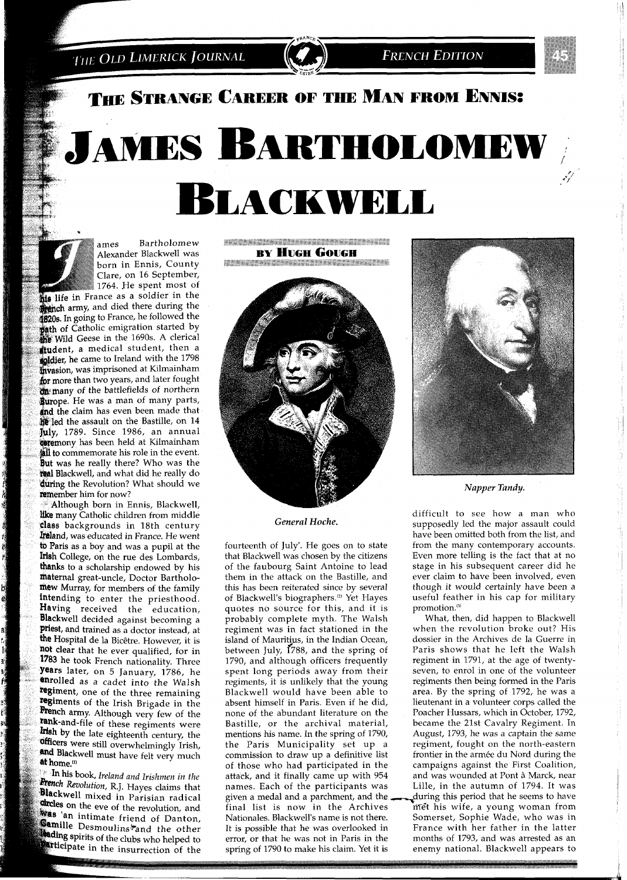THE OLD LIMERICK JOURNAL

## THE STRANGE CAREER OF THE MAN FROM ENNIS:

# **JAMES BARTHOLOMEW LACKWELL**



ames Bartholomew Alexander Blackwell was born in Ennis, County Clare, on 16 September, 1764. He spent most of

**life** in France as a soldier in the **hench** army, and died there during the 1820s. In going to France, he followed the **path** of Catholic emigration started by **Idde** Wild Geese in the 1690s. A clerical tudent, a medical student, then a **epidier**, he came to Ireland with the 1798 **hwasion**, was imprisoned at Kilmainham for more than two years, and later fought<br>on many of the battlefields of northern **Rurope.** He was a man of many parts,<br>**and** the claim has even been made that<br>**he** led the assault on the Bastille, on 14 fuly, 1789. Since 1986, an annual **Coremony** has been held at Kilmainham all to commemorate his role in the event. But was he really there? Who was the **Teal Blackwell**, and what did he really do during the Revolution? What should we remember him for now?

Although born in Ennis, Blackwell, like many Catholic children from middle class backgrounds in 18th century Ireland, was educated in France. He went to Paris as a boy and was a pupil at the Irish College, on the rue des Lombards, thanks to a scholarship endowed by his maternal great-uncle, Doctor Bartholomew Murray, for members of the family intending to enter the priesthood. Having received the education, **Blackwell decided against becoming a**<br>**priest**, and trained as a doctor instead, at<br>**the Hospital de la Bicêtre. However, it is** not clear that he ever qualified, for in 1783 he took French nationality. Three years later, on 5 January, 1786, he enrolled as a cadet into the Walsh regiment, one of the three remaining<br>regiments of the Irish Brigade in the French army. Although very few of the rank-and-file of these regiments were<br>**Irish** by the late eighteenth century, the **officers** were still overwhelmingly Irish, and Blackwell must have felt very much at home.<sup>(1)</sup>

In his book, Ireland and Irishmen in the **Rench Revolution**, R.J. Hayes claims that **Blackwell** mixed in Parisian radical **direles** on the eve of the revolution, and **Example 20 In the eve of the revolution, and**<br>**Camilla** December 20 Intendent Camilla **Camille** Desmoulins and the other **Leading spirits of the clubs who helped to Extinction** in the insurrection of the **WARRANGTON MARKETING MARKETING MARKETING RY HUGH GOUGH The Communication of the Communication Communication** 



*General Hoche.* 

fourteenth of July'. He goes on to state that Blackwell was chosen by the citizens of the faubourg Saint Antoine to lead them in the attack on the Bastille, and this has been reiterated since by several of Blackwell's biographers.<sup>(2)</sup> Yet Hayes quotes no source for this, and it is probably complete myth. The Walsh regiment was in fact stationed in the island of Mauritius, in the Indian Ocean, between July,  $1788$ , and the spring of 1790, and although officers frequently spent long periods away from their regiments, it is unlikely that the young Blackwell would have been able to absent himself in Paris. Even if he did, none of the abundant literature on the Bastille, or the archival material, mentions his name. In the spring of 1790, the Paris Municipality set up a commission to draw up a definitive list of those who had participated in the attack, and it finally came up with 954 names. Each of the participants was given a medal and a parchment, and the during this period that he seems to have<br>final list is now in the Archives met his wife, a young woman from Nationales. Blackwell's name is not there.<br>It is possible that he was overlooked in It is possible that he was overlooked in France with her father in the latter error, or that he was not in Paris in the months of 1793, and was arrested as an spring of 1790 to make his claim. Yet it is



*Napper Tandy.* 

difficult to see how a man who supposedly led the major assault could have been omitted both from the list, and from the many contemporary accounts. Even more telling is the fact that at no stage in his subsequent career did he ever claim to have been involved, even though it would certainly have been a useful feather in his cap for military promotion.<sup>(3)</sup>

met his wife, a young woman from<br>Somerset, Sophie Wade, who was in months of 1793, and was arrested as an enemy national. Blackwell appears to What, then, did happen to Blackwell when the revolution broke out? His dossier in the Archives de la Guerre in Paris shows that he left the Walsh regiment in 1791, at the age of twentyseven, to enrol in one of the volunteer regiments then being formed in the Paris area. By the spring of 1792, he was a lieutenant in a volunteer corps called the Poacher Hussars, which in October, 1792, became the 21st Cavalry Regiment. In August, 1793, he was a captain the same regiment, fought on the north-eastern frontier in the armée du Nord during the campaigns against the First Coalition, and was wounded at Pont *A* Marck, near Lille, in the autumn of 1794. It was

l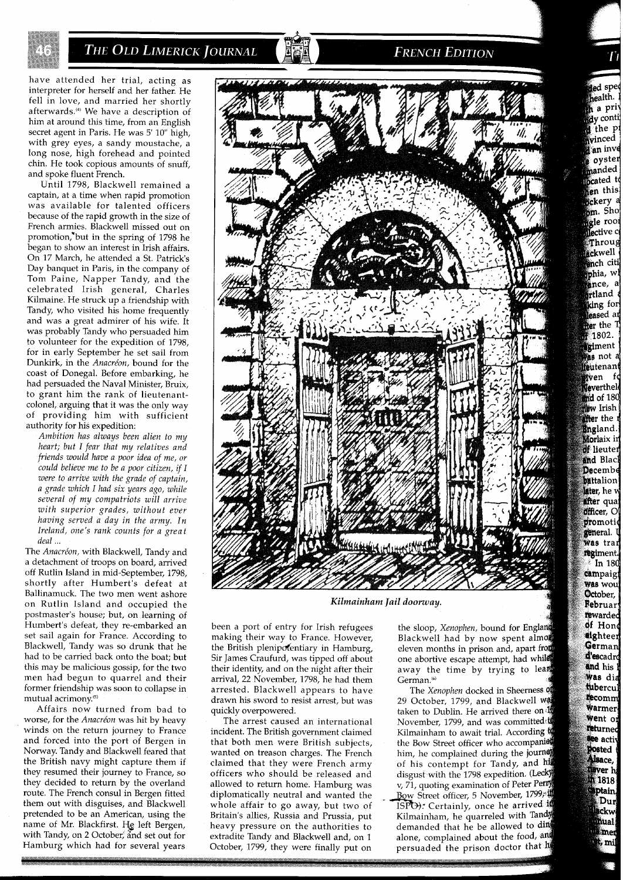

## **THE OLD LIMERICK JOURNAL**

have attended her trial, acting as interpreter for herself and her father. He fell in love, and married her shortly afterwards.'" We have a description of him at around this time, from an English secret agent in Paris. He was 5' 10" high, with grey eyes, a sandy moustache, a long nose, high forehead and pointed chin. He took copious amounts of snuff, and spoke fluent French.

Until 1798, Blackwell remained a captain, at a time when rapid promotion was available for talented officers because of the rapid growth in the size of French armies. Blackwell missed out on promotion,'but in the spring of 1798 he began to show an interest in Irish affairs. On 17 March, he attended a St. Patrick's Day banquet in Paris, in the company of Tom Paine, Napper Tandy, and the celebrated Irish general, Charles Kilmaine. He struck up a friendship with Tandy, who visited his home frequently and was a great admirer of his wife. It was probably Tandy who persuaded him to volunteer for the expedition of 1798, for in early September he set sail from Dunkirk, in the *Anacrion,* bound for the coast of Donegal. Before embarking, he had persuaded the Naval Minister, Bruix, to grant him the rank of lieutenantcolonel, arguing that it was the only way of providing him with sufficient authority for his expedition:

*Ambition has always been alien to my heart; but I fear that my relatives and friends would have a poor idea of me, or could believe me to be a poor citizen, if I were to arrive with the grade of captain, a grade which I had six years ago, while several of my compatriots will arrive with superior grades, without ever having served a day in the army. In Ireland, one's rank counts for a great deal* ...

The *Anacréon*, with Blackwell, Tandy and a detachment of troops on board, arrived off Rutlin Island in mid-September, 1798, shortly after Humbert's defeat at Ballinamuck. The two men went ashore on Rutlin Island and occupied the postmaster's house; but, on learning of Humbert's defeat, they re-embarked an set sail again for France. According to Blackwell, Tandy was so drunk that he had to be carried back onto the boat; but this may be malicious gossip, for the two men had begun to quarrel and their former friendship was soon to collapse in mutual acrimony.<sup>(5)</sup>

Affairs now turned from bad to worse, for the *Anacréon* was hit by heavy winds on the return journey to France and forced into the port of Bergen in Norway. Tandy and Blackwell feared that the British navy might capture them if they resumed their journey to France, so they decided to return by the overland route. The French consul in Bergen fitted them out with disguises, and Blackwell pretended to be an American, using the name of Mr. Blackfirst. He left Bergen, with Tandy, on 2 October, and set out for Hamburg which had for several years



**FRENCH EDITION** 

Kilmainham Jail doorway.

been a port of entry for Irish refugees making their way to France. However, the British plenipotentiary in Hamburg, Sir James Craufurd, was tipped off about their identity, and on the night after their arrival, 22 November, 1798, he had them arrested. Blackwell appears to have drawn his sword to resist arrest, but was quickly overpowered.

The arrest caused an international incident. The British government claimed that both men were British subjects, wanted on treason charges. The French claimed that they were French army officers who should be released and allowed to return home. Hamburg was<br>diplomatically neutral and wanted the whole affair to go away, but two of Britain's allies, Russia and Prussia, put heavy pressure on the authorities to extradite Tandy and Blackwell and, on 1 October, 1799, they were finally put on

the sloop, *Xenophen,* bound for Engla Blackwell had by now spent almos eleven months in prison and, apart from<br>one abortive escape attempt, had while away the time by trying to lean German.<sup>(6)</sup>

The *Xenophen* docked in Sheerness 29 October, 1799, and Blackwell wa taken to Dublin. He arrived there on November, 1799, and was committed' Kilmainham to await trial. According t the Bow Street officer who accompanied him, he complained during the journe of his contempt for Tandy, and  $\cdot$ disgust with the 1798 expedition. (Lecky v, 71, quoting examination of Peter Perry Bow Street officer, 5 November, 1799, ISPO). Certainly, once he arrived if Kilmainham, he quarreled with Tandy demanded that he be allowed to din alone, complained about the food, and persuaded the prison doctor that h

ed spe ealth. a pri  $dy$  conti the p vinced an inve oyster manded cated t en this sckery a <sub>o</sub>m, Sho gle rool lective c  $\epsilon$ Throug ackwell **en**ch citi phia, wl ance, a rtland king for leased ar ffer the T  $1802.$ giment ma not a teutenant wen fo Weverthele md of 180 new Irish **ffer** the England. Morlaix in **of** lieuter and Black **Decembe battalion** later, he w **after** qua **officer**, O promotic general. **Was** tran regiment. <sup>-</sup>In 180 campaigi **Was** wou October, Februar rewarded of Hone eighteer German d'escadro and his 1 Was dia tubercul tecomm Warmer Went or returned **Bee** activ Posted Alsace, lever h n 1818 **Aptain**, Dur ckw ual mer